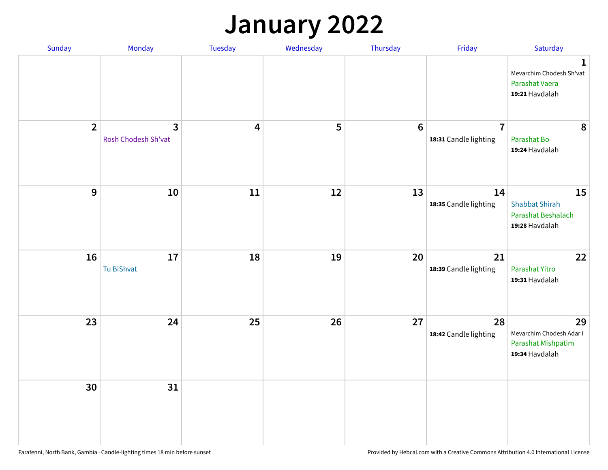## **January 2022**

| Sunday         | Monday                              | Tuesday                 | Wednesday | Thursday | Friday                                  | Saturday                                                                     |
|----------------|-------------------------------------|-------------------------|-----------|----------|-----------------------------------------|------------------------------------------------------------------------------|
|                |                                     |                         |           |          |                                         | $\mathbf{1}$<br>Mevarchim Chodesh Sh'vat<br>Parashat Vaera<br>19:21 Havdalah |
| $\overline{2}$ | $\mathbf{3}$<br>Rosh Chodesh Sh'vat | $\overline{\mathbf{4}}$ | 5         | $6\,$    | $\overline{7}$<br>18:31 Candle lighting | 8<br>Parashat Bo<br>19:24 Havdalah                                           |
| $\mathbf{9}$   | 10                                  | 11                      | 12        | 13       | 14<br>18:35 Candle lighting             | 15<br><b>Shabbat Shirah</b><br>Parashat Beshalach<br>19:28 Havdalah          |
| 16             | 17<br>Tu BiShvat                    | 18                      | 19        | 20       | 21<br>18:39 Candle lighting             | 22<br>Parashat Yitro<br>19:31 Havdalah                                       |
| 23             | 24                                  | 25                      | 26        | 27       | 28<br>18:42 Candle lighting             | 29<br>Mevarchim Chodesh Adar I<br>Parashat Mishpatim<br>19:34 Havdalah       |
| 30             | 31                                  |                         |           |          |                                         |                                                                              |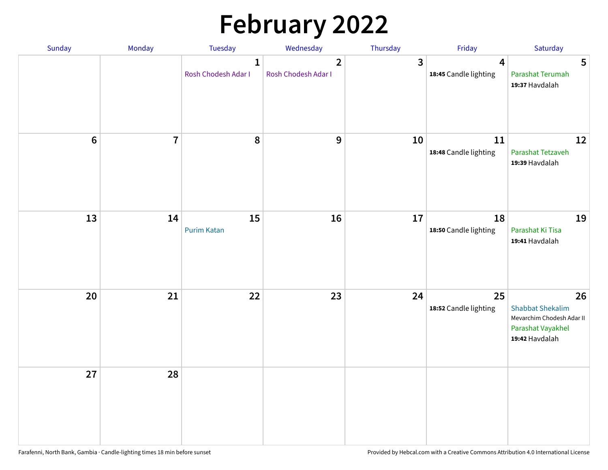# **February 2022**

| Sunday | Monday         | <b>Tuesday</b>                      | Wednesday                             | Thursday | Friday                                           | Saturday                                                                                          |
|--------|----------------|-------------------------------------|---------------------------------------|----------|--------------------------------------------------|---------------------------------------------------------------------------------------------------|
|        |                | $\mathbf{1}$<br>Rosh Chodesh Adar I | $\overline{2}$<br>Rosh Chodesh Adar I | 3        | $\overline{\mathbf{4}}$<br>18:45 Candle lighting | 5<br>Parashat Terumah<br>19:37 Havdalah                                                           |
| $6\,$  | $\overline{7}$ | 8                                   | 9                                     | 10       | 11<br>18:48 Candle lighting                      | 12<br>Parashat Tetzaveh<br>19:39 Havdalah                                                         |
| 13     | 14             | 15<br><b>Purim Katan</b>            | 16                                    | 17       | 18<br>18:50 Candle lighting                      | 19<br>Parashat Ki Tisa<br>19:41 Havdalah                                                          |
| 20     | 21             | 22                                  | 23                                    | 24       | 25<br>18:52 Candle lighting                      | 26<br><b>Shabbat Shekalim</b><br>Mevarchim Chodesh Adar II<br>Parashat Vayakhel<br>19:42 Havdalah |
| 27     | 28             |                                     |                                       |          |                                                  |                                                                                                   |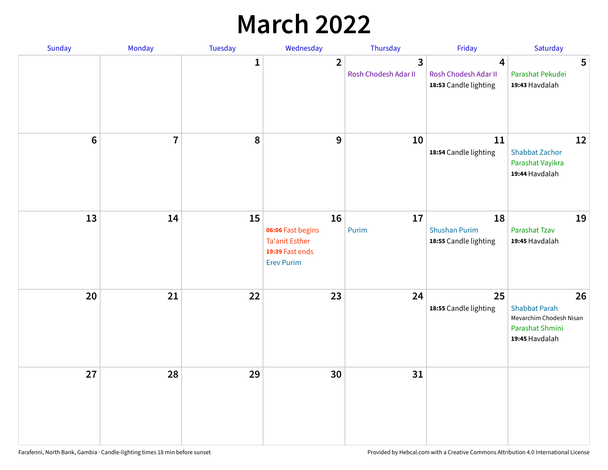## **March 2022**

| Sunday         | Monday         | Tuesday      | Wednesday                                                                                | Thursday                  | Friday                                              | Saturday                                                                                   |
|----------------|----------------|--------------|------------------------------------------------------------------------------------------|---------------------------|-----------------------------------------------------|--------------------------------------------------------------------------------------------|
|                |                | $\mathbf{1}$ | $\overline{2}$                                                                           | 3<br>Rosh Chodesh Adar II | 4<br>Rosh Chodesh Adar II<br>18:53 Candle lighting  | 5<br>Parashat Pekudei<br>19:43 Havdalah                                                    |
| $6\phantom{1}$ | $\overline{7}$ | 8            | $9$                                                                                      | 10                        | 11<br>18:54 Candle lighting                         | 12<br><b>Shabbat Zachor</b><br>Parashat Vayikra<br>19:44 Havdalah                          |
| 13             | 14             | 15           | 16<br>06:06 Fast begins<br><b>Ta'anit Esther</b><br>19:39 Fast ends<br><b>Erev Purim</b> | 17<br>Purim               | 18<br><b>Shushan Purim</b><br>18:55 Candle lighting | 19<br>Parashat Tzav<br>19:45 Havdalah                                                      |
| 20             | 21             | 22           | 23                                                                                       | 24                        | 25<br>18:55 Candle lighting                         | 26<br><b>Shabbat Parah</b><br>Mevarchim Chodesh Nisan<br>Parashat Shmini<br>19:45 Havdalah |
| 27             | 28             | 29           | 30                                                                                       | 31                        |                                                     |                                                                                            |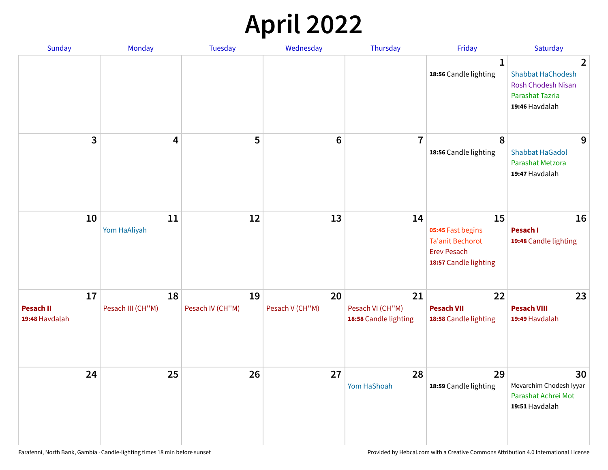## **April 2022**

| Sunday                                   | Monday                  | <b>Tuesday</b>         | Wednesday             | Thursday                                        | Friday                                                                                            | Saturday                                                                                                            |
|------------------------------------------|-------------------------|------------------------|-----------------------|-------------------------------------------------|---------------------------------------------------------------------------------------------------|---------------------------------------------------------------------------------------------------------------------|
|                                          |                         |                        |                       |                                                 | $\mathbf{1}$<br>18:56 Candle lighting                                                             | $\overline{2}$<br><b>Shabbat HaChodesh</b><br><b>Rosh Chodesh Nisan</b><br><b>Parashat Tazria</b><br>19:46 Havdalah |
| 3                                        | $\overline{\mathbf{4}}$ | 5                      | $6\phantom{1}6$       | $\overline{7}$                                  | 8<br>18:56 Candle lighting                                                                        | 9<br><b>Shabbat HaGadol</b><br>Parashat Metzora<br>19:47 Havdalah                                                   |
| 10                                       | 11<br>Yom HaAliyah      | 12                     | 13                    | 14                                              | 15<br>05:45 Fast begins<br><b>Ta'anit Bechorot</b><br><b>Erev Pesach</b><br>18:57 Candle lighting | 16<br>Pesach I<br>19:48 Candle lighting                                                                             |
| 17<br><b>Pesach II</b><br>19:48 Havdalah | 18<br>Pesach III (CH"M) | 19<br>Pesach IV (CH"M) | 20<br>Pesach V (CH"M) | 21<br>Pesach VI (CH"M)<br>18:58 Candle lighting | 22<br><b>Pesach VII</b><br>18:58 Candle lighting                                                  | 23<br><b>Pesach VIII</b><br>19:49 Havdalah                                                                          |
| 24                                       | 25                      | 26                     | 27                    | 28<br>Yom HaShoah                               | 29<br>18:59 Candle lighting                                                                       | 30<br>Mevarchim Chodesh Iyyar<br>Parashat Achrei Mot<br>19:51 Havdalah                                              |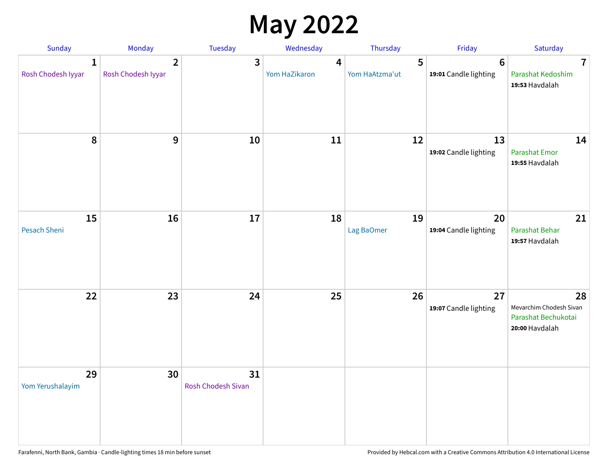## **May 2022**

| <b>Sunday</b>                      | Monday                               | Tuesday                         | Wednesday          | Thursday            | Friday                                   | Saturday                                                               |
|------------------------------------|--------------------------------------|---------------------------------|--------------------|---------------------|------------------------------------------|------------------------------------------------------------------------|
| $\mathbf{1}$<br>Rosh Chodesh Iyyar | $\overline{2}$<br>Rosh Chodesh Iyyar | 3                               | 4<br>Yom HaZikaron | 5<br>Yom HaAtzma'ut | $6\phantom{1}6$<br>19:01 Candle lighting | $\overline{7}$<br>Parashat Kedoshim<br>19:53 Havdalah                  |
| $\pmb{8}$                          | $\mathbf{9}$                         | 10                              | 11                 | 12                  | 13<br>19:02 Candle lighting              | 14<br><b>Parashat Emor</b><br>19:55 Havdalah                           |
| 15<br>Pesach Sheni                 | 16                                   | 17                              | 18                 | 19<br>Lag BaOmer    | 20<br>19:04 Candle lighting              | 21<br>Parashat Behar<br>19:57 Havdalah                                 |
| 22                                 | 23                                   | 24                              | 25                 | 26                  | 27<br>19:07 Candle lighting              | 28<br>Mevarchim Chodesh Sivan<br>Parashat Bechukotai<br>20:00 Havdalah |
| 29<br>Yom Yerushalayim             | 30                                   | 31<br><b>Rosh Chodesh Sivan</b> |                    |                     |                                          |                                                                        |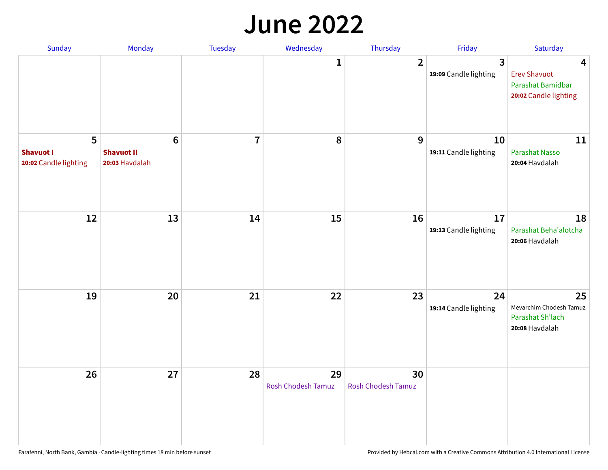#### **June 2022**

| Sunday                                         | Monday                                                 | Tuesday        | Wednesday                       | Thursday                        | Friday                      | Saturday                                                               |
|------------------------------------------------|--------------------------------------------------------|----------------|---------------------------------|---------------------------------|-----------------------------|------------------------------------------------------------------------|
|                                                |                                                        |                | 1                               | $\overline{2}$                  | 3<br>19:09 Candle lighting  | 4<br><b>Erev Shavuot</b><br>Parashat Bamidbar<br>20:02 Candle lighting |
| 5<br><b>Shavuot I</b><br>20:02 Candle lighting | $6\phantom{1}6$<br><b>Shavuot II</b><br>20:03 Havdalah | $\overline{7}$ | 8                               | 9                               | 10<br>19:11 Candle lighting | 11<br><b>Parashat Nasso</b><br>20:04 Havdalah                          |
| 12                                             | 13                                                     | 14             | 15                              | 16                              | 17<br>19:13 Candle lighting | 18<br>Parashat Beha'alotcha<br>20:06 Havdalah                          |
| 19                                             | 20                                                     | 21             | 22                              | 23                              | 24<br>19:14 Candle lighting | 25<br>Mevarchim Chodesh Tamuz<br>Parashat Sh'lach<br>20:08 Havdalah    |
| 26                                             | 27                                                     | 28             | 29<br><b>Rosh Chodesh Tamuz</b> | 30<br><b>Rosh Chodesh Tamuz</b> |                             |                                                                        |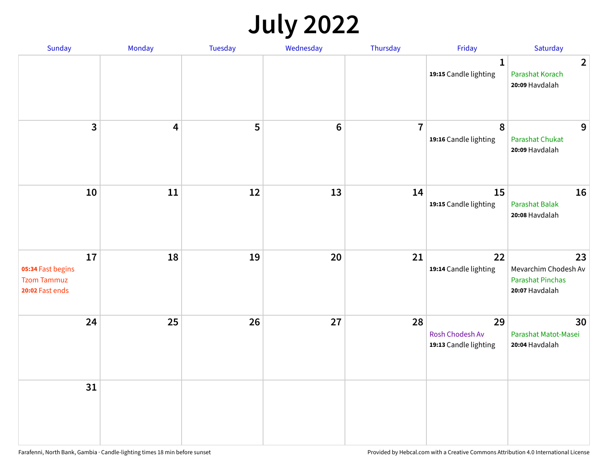## **July 2022**

| Sunday                                                           | Monday                  | Tuesday | Wednesday      | Thursday       | Friday                                         | Saturday                                                                |
|------------------------------------------------------------------|-------------------------|---------|----------------|----------------|------------------------------------------------|-------------------------------------------------------------------------|
|                                                                  |                         |         |                |                | $\mathbf{1}$<br>19:15 Candle lighting          | $\overline{2}$<br>Parashat Korach<br>20:09 Havdalah                     |
| $\overline{3}$                                                   | $\overline{\mathbf{4}}$ | 5       | $6\phantom{1}$ | $\overline{7}$ | 8<br>19:16 Candle lighting                     | 9<br>Parashat Chukat<br>20:09 Havdalah                                  |
| 10                                                               | 11                      | 12      | 13             | 14             | 15<br>19:15 Candle lighting                    | 16<br>Parashat Balak<br>20:08 Havdalah                                  |
| 17<br>05:34 Fast begins<br><b>Tzom Tammuz</b><br>20:02 Fast ends | 18                      | 19      | 20             | 21             | 22<br>19:14 Candle lighting                    | 23<br>Mevarchim Chodesh Av<br><b>Parashat Pinchas</b><br>20:07 Havdalah |
| 24                                                               | 25                      | 26      | 27             | 28             | 29<br>Rosh Chodesh Av<br>19:13 Candle lighting | 30<br>Parashat Matot-Masei<br>20:04 Havdalah                            |
| 31                                                               |                         |         |                |                |                                                |                                                                         |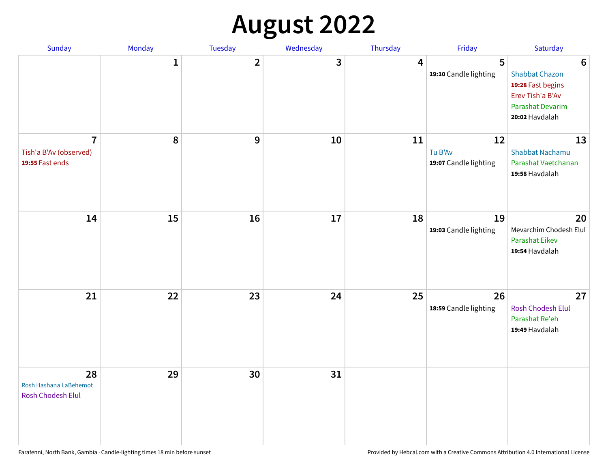## **August 2022**

| Sunday                                                      | Monday       | Tuesday      | Wednesday | Thursday | Friday                                 | Saturday                                                                                                                |
|-------------------------------------------------------------|--------------|--------------|-----------|----------|----------------------------------------|-------------------------------------------------------------------------------------------------------------------------|
|                                                             | $\mathbf{1}$ | $\mathbf{2}$ | 3         | 4        | 5<br>19:10 Candle lighting             | $6\phantom{1}6$<br><b>Shabbat Chazon</b><br>19:28 Fast begins<br>Erev Tish'a B'Av<br>Parashat Devarim<br>20:02 Havdalah |
| $\overline{7}$<br>Tish'a B'Av (observed)<br>19:55 Fast ends | 8            | 9            | 10        | 11       | 12<br>Tu B'Av<br>19:07 Candle lighting | 13<br><b>Shabbat Nachamu</b><br>Parashat Vaetchanan<br>19:58 Havdalah                                                   |
| 14                                                          | 15           | 16           | 17        | 18       | 19<br>19:03 Candle lighting            | 20<br>Mevarchim Chodesh Elul<br>Parashat Eikev<br>19:54 Havdalah                                                        |
| 21                                                          | 22           | 23           | 24        | 25       | 26<br>18:59 Candle lighting            | 27<br>Rosh Chodesh Elul<br>Parashat Re'eh<br>19:49 Havdalah                                                             |
| 28<br>Rosh Hashana LaBehemot<br>Rosh Chodesh Elul           | 29           | 30           | 31        |          |                                        |                                                                                                                         |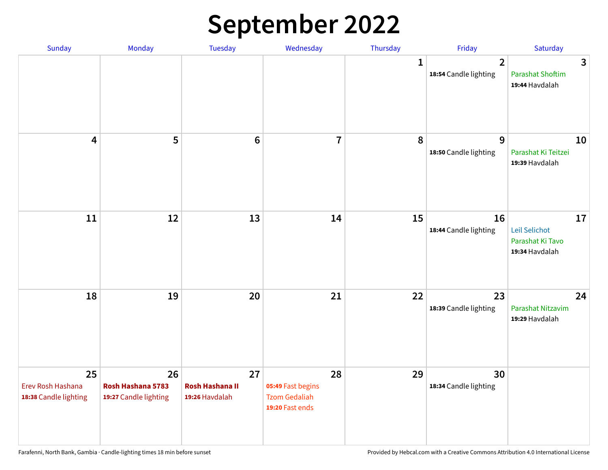## **September 2022**

| Sunday                                           | Monday                                           | Tuesday                                        | Wednesday                                                          | Thursday     | Friday                                  | Saturday                                                  |
|--------------------------------------------------|--------------------------------------------------|------------------------------------------------|--------------------------------------------------------------------|--------------|-----------------------------------------|-----------------------------------------------------------|
|                                                  |                                                  |                                                |                                                                    | $\mathbf{1}$ | $\overline{2}$<br>18:54 Candle lighting | 3<br><b>Parashat Shoftim</b><br>19:44 Havdalah            |
| $\overline{\mathbf{4}}$                          | 5                                                | $6\phantom{1}6$                                | $\overline{7}$                                                     | 8            | 9<br>18:50 Candle lighting              | 10<br>Parashat Ki Teitzei<br>19:39 Havdalah               |
| $11\,$                                           | 12                                               | 13                                             | 14                                                                 | 15           | 16<br>18:44 Candle lighting             | 17<br>Leil Selichot<br>Parashat Ki Tavo<br>19:34 Havdalah |
| 18                                               | 19                                               | 20                                             | 21                                                                 | 22           | 23<br>18:39 Candle lighting             | 24<br>Parashat Nitzavim<br>19:29 Havdalah                 |
| 25<br>Erev Rosh Hashana<br>18:38 Candle lighting | 26<br>Rosh Hashana 5783<br>19:27 Candle lighting | 27<br><b>Rosh Hashana II</b><br>19:26 Havdalah | 28<br>05:49 Fast begins<br><b>Tzom Gedaliah</b><br>19:20 Fast ends | 29           | 30<br>18:34 Candle lighting             |                                                           |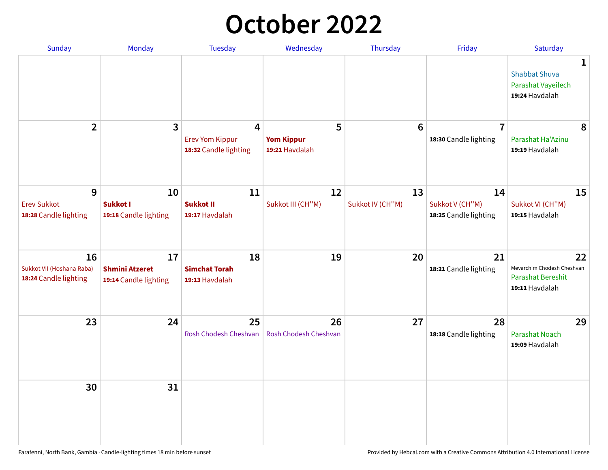## **October 2022**

| Sunday                                                   | Monday                                               | <b>Tuesday</b>                                                    | Wednesday                                | Thursday               | Friday                                         | Saturday                                                                       |
|----------------------------------------------------------|------------------------------------------------------|-------------------------------------------------------------------|------------------------------------------|------------------------|------------------------------------------------|--------------------------------------------------------------------------------|
|                                                          |                                                      |                                                                   |                                          |                        |                                                | 1<br><b>Shabbat Shuva</b><br>Parashat Vayeilech<br>19:24 Havdalah              |
| $\overline{2}$                                           | $\overline{\mathbf{3}}$                              | $\overline{4}$<br><b>Erev Yom Kippur</b><br>18:32 Candle lighting | 5<br><b>Yom Kippur</b><br>19:21 Havdalah | 6                      | $\overline{7}$<br>18:30 Candle lighting        | 8<br>Parashat Ha'Azinu<br>19:19 Havdalah                                       |
| 9<br><b>Erev Sukkot</b><br>18:28 Candle lighting         | 10<br><b>Sukkot I</b><br>19:18 Candle lighting       | 11<br><b>Sukkot II</b><br>19:17 Havdalah                          | 12<br>Sukkot III (CH"M)                  | 13<br>Sukkot IV (CH"M) | 14<br>Sukkot V (CH"M)<br>18:25 Candle lighting | 15<br>Sukkot VI (CH"M)<br>19:15 Havdalah                                       |
| 16<br>Sukkot VII (Hoshana Raba)<br>18:24 Candle lighting | 17<br><b>Shmini Atzeret</b><br>19:14 Candle lighting | 18<br><b>Simchat Torah</b><br>19:13 Havdalah                      | 19                                       | 20                     | 21<br>18:21 Candle lighting                    | 22<br>Mevarchim Chodesh Cheshvan<br><b>Parashat Bereshit</b><br>19:11 Havdalah |
| 23                                                       | 24                                                   | 25<br>Rosh Chodesh Cheshvan                                       | 26<br>Rosh Chodesh Cheshvan              | 27                     | 28<br>18:18 Candle lighting                    | 29<br><b>Parashat Noach</b><br>19:09 Havdalah                                  |
| 30                                                       | 31                                                   |                                                                   |                                          |                        |                                                |                                                                                |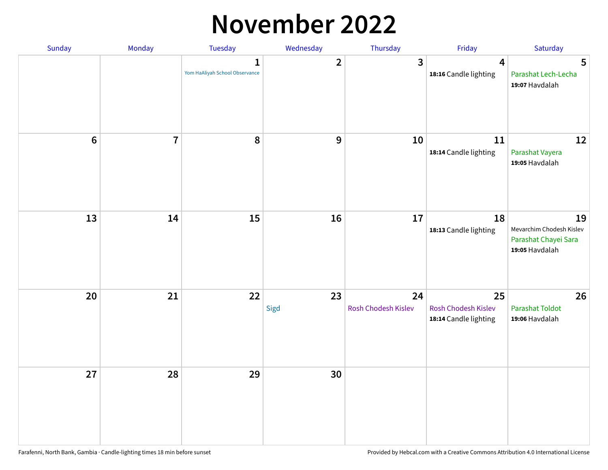#### **November 2022**

| Sunday         | Monday         | <b>Tuesday</b>                                 | Wednesday        | Thursday                  | Friday                                             | Saturday                                                                 |
|----------------|----------------|------------------------------------------------|------------------|---------------------------|----------------------------------------------------|--------------------------------------------------------------------------|
|                |                | $\mathbf{1}$<br>Yom HaAliyah School Observance | $\mathbf{2}$     | $\mathbf{3}$              | $\overline{\mathbf{4}}$<br>18:16 Candle lighting   | 5<br>Parashat Lech-Lecha<br>19:07 Havdalah                               |
| $6\phantom{a}$ | $\overline{7}$ | 8                                              | $\boldsymbol{9}$ | 10                        | 11<br>18:14 Candle lighting                        | 12<br>Parashat Vayera<br>19:05 Havdalah                                  |
| 13             | 14             | 15                                             | 16               | 17                        | 18<br>18:13 Candle lighting                        | 19<br>Mevarchim Chodesh Kislev<br>Parashat Chayei Sara<br>19:05 Havdalah |
| 20             | 21             | 22                                             | 23<br>Sigd       | 24<br>Rosh Chodesh Kislev | 25<br>Rosh Chodesh Kislev<br>18:14 Candle lighting | 26<br><b>Parashat Toldot</b><br>19:06 Havdalah                           |
| 27             | 28             | 29                                             | 30               |                           |                                                    |                                                                          |